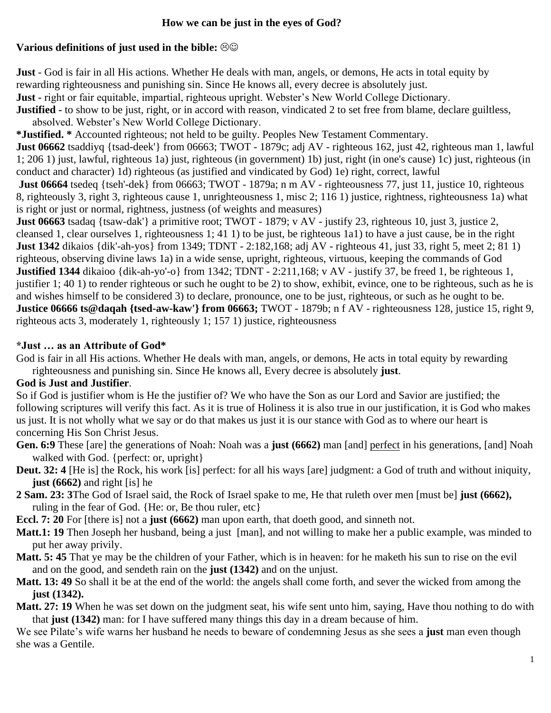## **How we can be just in the eyes of God?**

#### **Various definitions of just used in the bible:**  $\Theta\Theta$

**Just** - God is fair in all His actions. Whether He deals with man, angels, or demons, He acts in total equity by rewarding righteousness and punishing sin. Since He knows all, every decree is absolutely just. **Just -** right or fair equitable, impartial, righteous upright. Webster's New World College Dictionary. **Justified** - to show to be just, right, or in accord with reason, vindicated 2 to set free from blame, declare guiltless,

absolved. Webster's New World College Dictionary.

**\*Justified. \*** Accounted righteous; not held to be guilty. Peoples New Testament Commentary.

**Just 06662** tsaddiyq {tsad-deek'} from 06663; TWOT - 1879c; adj AV - righteous 162, just 42, righteous man 1, lawful 1; 206 1) just, lawful, righteous 1a) just, righteous (in government) 1b) just, right (in one's cause) 1c) just, righteous (in conduct and character) 1d) righteous (as justified and vindicated by God) 1e) right, correct, lawful

**Just 06664** tsedeq {tseh'-dek} from 06663; TWOT - 1879a; n m AV - righteousness 77, just 11, justice 10, righteous 8, righteously 3, right 3, righteous cause 1, unrighteousness 1, misc 2; 116 1) justice, rightness, righteousness 1a) what is right or just or normal, rightness, justness (of weights and measures)

**Just 06663** tsadaq {tsaw-dak'} a primitive root; TWOT - 1879; v AV - justify 23, righteous 10, just 3, justice 2, cleansed 1, clear ourselves 1, righteousness 1; 41 1) to be just, be righteous 1a1) to have a just cause, be in the right **Just 1342** dikaios {dik'-ah-yos} from 1349; TDNT - 2:182,168; adj AV - righteous 41, just 33, right 5, meet 2; 81 1) righteous, observing divine laws 1a) in a wide sense, upright, righteous, virtuous, keeping the commands of God **Justified 1344** dikaioo {dik-ah-yo'-o} from 1342; TDNT - 2:211,168; v AV - justify 37, be freed 1, be righteous 1, justifier 1; 40 1) to render righteous or such he ought to be 2) to show, exhibit, evince, one to be righteous, such as he is and wishes himself to be considered 3) to declare, pronounce, one to be just, righteous, or such as he ought to be. **Justice 06666 ts@daqah {tsed-aw-kaw'} from 06663;** TWOT - 1879b; n f AV - righteousness 128, justice 15, right 9, righteous acts 3, moderately 1, righteously 1; 157 1) justice, righteousness

#### **\*Just … as an Attribute of God\***

God is fair in all His actions. Whether He deals with man, angels, or demons, He acts in total equity by rewarding righteousness and punishing sin. Since He knows all, Every decree is absolutely **just**.

## **God is Just and Justifier**.

So if God is justifier whom is He the justifier of? We who have the Son as our Lord and Savior are justified; the following scriptures will verify this fact. As it is true of Holiness it is also true in our justification, it is God who makes us just. It is not wholly what we say or do that makes us just it is our stance with God as to where our heart is concerning His Son Christ Jesus.

- **Gen. 6:9** These [are] the generations of Noah: Noah was a **just (6662)** man [and] perfect in his generations, [and] Noah walked with God. {perfect: or, upright}
- **Deut. 32: 4** [He is] the Rock, his work [is] perfect: for all his ways [are] judgment: a God of truth and without iniquity, **just (6662)** and right [is] he
- **2 Sam. 23: 3**The God of Israel said, the Rock of Israel spake to me, He that ruleth over men [must be] **just (6662),**  ruling in the fear of God. {He: or, Be thou ruler, etc}

**Eccl. 7: 20** For [there is] not a **just (6662)** man upon earth, that doeth good, and sinneth not.

- **Matt.1: 19** Then Joseph her husband, being a just [man], and not willing to make her a public example, was minded to put her away privily.
- **Matt. 5: 45** That ye may be the children of your Father, which is in heaven: for he maketh his sun to rise on the evil and on the good, and sendeth rain on the **just (1342)** and on the unjust.
- **Matt. 13: 49** So shall it be at the end of the world: the angels shall come forth, and sever the wicked from among the **just (1342).**
- **Matt. 27: 19** When he was set down on the judgment seat, his wife sent unto him, saying, Have thou nothing to do with that **just (1342)** man: for I have suffered many things this day in a dream because of him.

We see Pilate's wife warns her husband he needs to beware of condemning Jesus as she sees a **just** man even though she was a Gentile.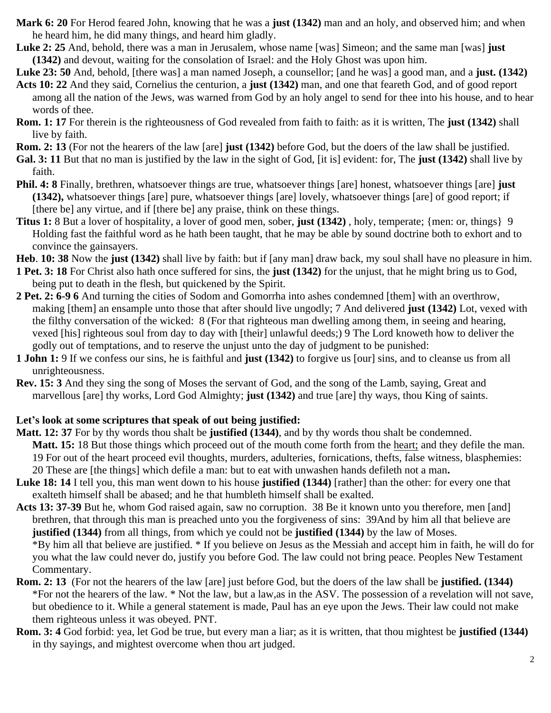- **Mark 6: 20** For Herod feared John, knowing that he was a **just (1342)** man and an holy, and observed him; and when he heard him, he did many things, and heard him gladly.
- **Luke 2: 25** And, behold, there was a man in Jerusalem, whose name [was] Simeon; and the same man [was] **just (1342)** and devout, waiting for the consolation of Israel: and the Holy Ghost was upon him.
- **Luke 23: 50** And, behold, [there was] a man named Joseph, a counsellor; [and he was] a good man, and a **just. (1342)**
- **Acts 10: 22** And they said, Cornelius the centurion, a **just (1342)** man, and one that feareth God, and of good report among all the nation of the Jews, was warned from God by an holy angel to send for thee into his house, and to hear words of thee.
- **Rom. 1: 17** For therein is the righteousness of God revealed from faith to faith: as it is written, The **just (1342)** shall live by faith.
- **Rom. 2: 13** (For not the hearers of the law [are] **just (1342)** before God, but the doers of the law shall be justified.
- **Gal. 3: 11** But that no man is justified by the law in the sight of God, [it is] evident: for, The **just (1342)** shall live by faith.
- **Phil. 4: 8** Finally, brethren, whatsoever things are true, whatsoever things [are] honest, whatsoever things [are] **just (1342),** whatsoever things [are] pure, whatsoever things [are] lovely, whatsoever things [are] of good report; if [there be] any virtue, and if [there be] any praise, think on these things.
- **Titus 1:** 8 But a lover of hospitality, a lover of good men, sober, **just (1342)** , holy, temperate; {men: or, things} 9 Holding fast the faithful word as he hath been taught, that he may be able by sound doctrine both to exhort and to convince the gainsayers.
- **Heb**. **10: 38** Now the **just (1342)** shall live by faith: but if [any man] draw back, my soul shall have no pleasure in him.
- **1 Pet. 3: 18** For Christ also hath once suffered for sins, the **just (1342)** for the unjust, that he might bring us to God, being put to death in the flesh, but quickened by the Spirit.
- **2 Pet. 2: 6-9 6** And turning the cities of Sodom and Gomorrha into ashes condemned [them] with an overthrow, making [them] an ensample unto those that after should live ungodly; 7 And delivered **just (1342)** Lot, vexed with the filthy conversation of the wicked: 8 (For that righteous man dwelling among them, in seeing and hearing, vexed [his] righteous soul from day to day with [their] unlawful deeds;) 9 The Lord knoweth how to deliver the godly out of temptations, and to reserve the unjust unto the day of judgment to be punished:
- **1 John 1:** 9 If we confess our sins, he is faithful and **just (1342)** to forgive us [our] sins, and to cleanse us from all unrighteousness.
- **Rev. 15: 3** And they sing the song of Moses the servant of God, and the song of the Lamb, saying, Great and marvellous [are] thy works, Lord God Almighty; **just (1342)** and true [are] thy ways, thou King of saints.

# **Let's look at some scriptures that speak of out being justified:**

- **Matt. 12: 37** For by thy words thou shalt be **justified (1344)**, and by thy words thou shalt be condemned. **Matt. 15:** 18 But those things which proceed out of the mouth come forth from the heart; and they defile the man. 19 For out of the heart proceed evil thoughts, murders, adulteries, fornications, thefts, false witness, blasphemies: 20 These are [the things] which defile a man: but to eat with unwashen hands defileth not a man**.**
- **Luke 18: 14** I tell you, this man went down to his house **justified (1344)** [rather] than the other: for every one that exalteth himself shall be abased; and he that humbleth himself shall be exalted.
- **Acts 13: 37-39** But he, whom God raised again, saw no corruption. 38 Be it known unto you therefore, men [and] brethren, that through this man is preached unto you the forgiveness of sins: 39And by him all that believe are **justified (1344)** from all things, from which ye could not be **justified (1344)** by the law of Moses. \*By him all that believe are justified. \* If you believe on Jesus as the Messiah and accept him in faith, he will do for you what the law could never do, justify you before God. The law could not bring peace. Peoples New Testament Commentary.
- **Rom. 2: 13** (For not the hearers of the law [are] just before God, but the doers of the law shall be **justified. (1344)** \*For not the hearers of the law. \* Not the law, but a law,as in the ASV. The possession of a revelation will not save, but obedience to it. While a general statement is made, Paul has an eye upon the Jews. Their law could not make them righteous unless it was obeyed. PNT.
- **Rom. 3: 4** God forbid: yea, let God be true, but every man a liar; as it is written, that thou mightest be **justified (1344)** in thy sayings, and mightest overcome when thou art judged.